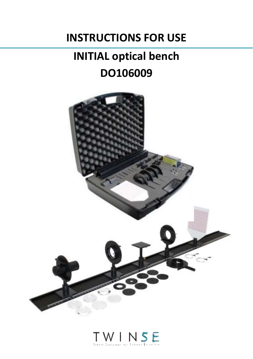## **INSTRUCTIONS FOR USE**

# **INITIAL optical bench DO106009**



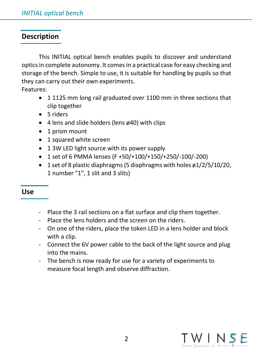## **Description**

This INITIAL optical bench enables pupils to discover and understand optics in complete autonomy. It comes in a practical case for easy checking and storage of the bench. Simple to use, it is suitable for handling by pupils so that they can carry out their own experiments.

Features:

- 1 1125 mm long rail graduated over 1100 mm in three sections that clip together
- 5 riders
- 4 lens and slide holders (lens ø40) with clips
- 1 prism mount
- 1 squared white screen
- 1 3W LED light source with its power supply
- 1 set of 6 PMMA lenses (F +50/+100/+150/+250/-100/-200)
- 1 set of 8 plastic diaphragms (5 diaphragms with holes ø1/2/5/10/20, 1 number "1", 1 slit and 3 slits)

## **Use**

- Place the 3 rail sections on a flat surface and clip them together.
- Place the lens holders and the screen on the riders.
- On one of the riders, place the token LED in a lens holder and block with a clip.
- Connect the 6V power cable to the back of the light source and plug into the mains.
- The bench is now ready for use for a variety of experiments to measure focal length and observe diffraction.

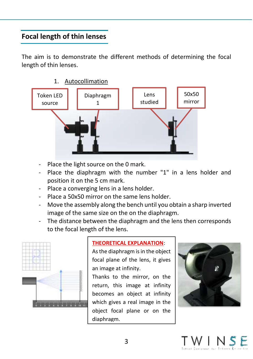## **Focal length of thin lenses**

The aim is to demonstrate the different methods of determining the focal length of thin lenses.

1. Autocollimation



- Place the light source on the 0 mark.
- Place the diaphragm with the number "1" in a lens holder and position it on the 5 cm mark.
- Place a converging lens in a lens holder.
- Place a 50x50 mirror on the same lens holder.
- Move the assembly along the bench until you obtain a sharp inverted image of the same size on the on the diaphragm.
- The distance between the diaphragm and the lens then corresponds to the focal length of the lens.



#### **THEORETICAL EXPLANATION**:

As the diaphragm is in the object focal plane of the lens, it gives an image at infinity.

Thanks to the mirror, on the return, this image at infinity becomes an object at infinity which gives a real image in the object focal plane or on the diaphragm.



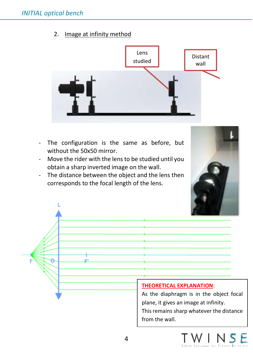2. Image at infinity method



- The configuration is the same as before, but without the 50x50 mirror.
- Move the rider with the lens to be studied until you obtain a sharp inverted image on the wall.
- The distance between the object and the lens then corresponds to the focal length of the lens.



#### **THEORETICAL EXPLANATION**:

As the diaphragm is in the object focal plane, it gives an image at infinity. This remains sharp whatever the distance from the wall.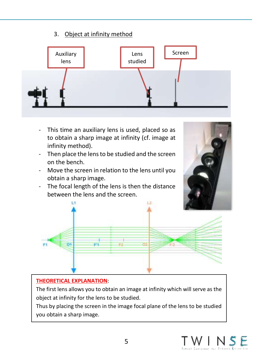## 3. Object at infinity method



- This time an auxiliary lens is used, placed so as to obtain a sharp image at infinity (cf. image at infinity method).
- Then place the lens to be studied and the screen on the bench.
- Move the screen in relation to the lens until you obtain a sharp image.
- The focal length of the lens is then the distance between the lens and the screen.





### **THEORETICAL EXPLANATION**:

The first lens allows you to obtain an image at infinity which will serve as the object at infinity for the lens to be studied.

Thus by placing the screen in the image focal plane of the lens to be studied you obtain a sharp image.

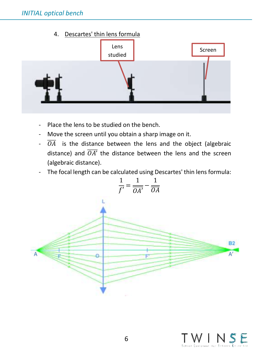4. Descartes' thin lens formula



- Place the lens to be studied on the bench.
- Move the screen until you obtain a sharp image on it.
- $\overline{OA}$  is the distance between the lens and the object (algebraic distance) and  $\overline{OA'}$  the distance between the lens and the screen (algebraic distance).
- The focal length can be calculated using Descartes' thin lens formula:



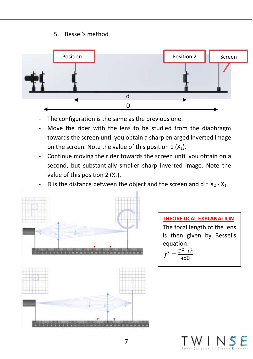## 5. Bessel's method



- The configuration is the same as the previous one.
- Move the rider with the lens to be studied from the diaphragm towards the screen until you obtain a sharp enlarged inverted image on the screen. Note the value of this position  $1 (X_1)$ .
- Continue moving the rider towards the screen until you obtain on a second, but substantially smaller sharp inverted image. Note the value of this position  $2 (X_2)$ .
- D is the distance between the object and the screen and  $d = X_2 X_1$



7

 $'$  INS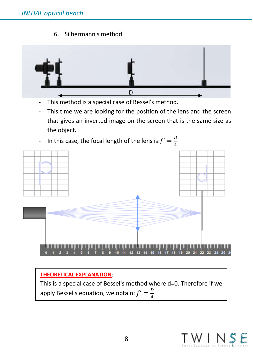6. Silbermann's method



- This method is a special case of Bessel's method.
- This time we are looking for the position of the lens and the screen that gives an inverted image on the screen that is the same size as the object.
- In this case, the focal length of the lens is: $f' = \frac{D}{4}$



## **THEORETICAL EXPLANATION**:

This is a special case of Bessel's method where d=0. Therefore if we apply Bessel's equation, we obtain:  $f' = \frac{D}{4}$ 4

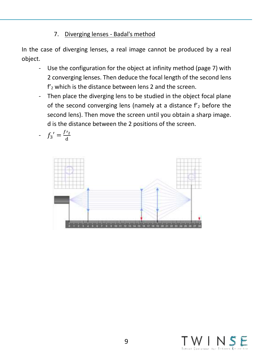## 7. Diverging lenses - Badal's method

In the case of diverging lenses, a real image cannot be produced by a real object.

- Use the configuration for the object at infinity method (page 7) with 2 converging lenses. Then deduce the focal length of the second lens f'<sup>2</sup> which is the distance between lens 2 and the screen.
- Then place the diverging lens to be studied in the object focal plane of the second converging lens (namely at a distance  $f_2$  before the second lens). Then move the screen until you obtain a sharp image. d is the distance between the 2 positions of the screen.

$$
f_3' = \frac{f r_2}{d}
$$



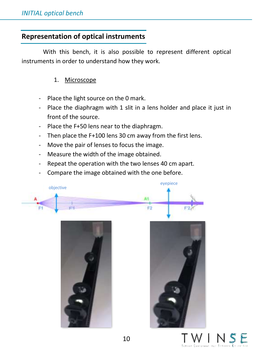## **Representation of optical instruments**

With this bench, it is also possible to represent different optical instruments in order to understand how they work.

## 1. Microscope

- Place the light source on the 0 mark.
- Place the diaphragm with 1 slit in a lens holder and place it just in front of the source.
- Place the F+50 lens near to the diaphragm.
- Then place the F+100 lens 30 cm away from the first lens.
- Move the pair of lenses to focus the image.
- Measure the width of the image obtained.
- Repeat the operation with the two lenses 40 cm apart.
- Compare the image obtained with the one before.







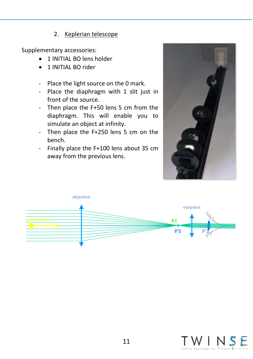#### 2. Keplerian telescope

- 1 INITIAL BO lens holder
- 1 INITIAL BO rider
- Place the light source on the 0 mark.
- Place the diaphragm with 1 slit just in front of the source.
- Then place the F+50 lens 5 cm from the diaphragm. This will enable you to simulate an object at infinity.
- Then place the F+250 lens 5 cm on the bench.
- Finally place the F+100 lens about 35 cm away from the previous lens.





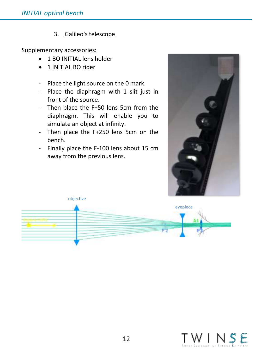#### 3. Galileo's telescope

- 1 BO INITIAL lens holder
- 1 INITIAL BO rider
- Place the light source on the 0 mark.
- Place the diaphragm with 1 slit just in front of the source.
- Then place the F+50 lens 5cm from the diaphragm. This will enable you to simulate an object at infinity.
- Then place the F+250 lens 5cm on the bench.
- Finally place the F-100 lens about 15 cm away from the previous lens.





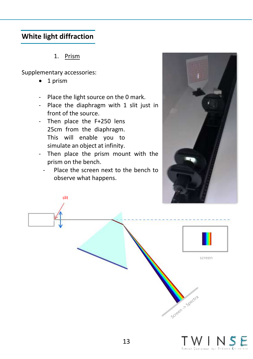## **White light diffraction**

1. Prism

slit

- 1 prism
- Place the light source on the 0 mark.
- Place the diaphragm with 1 slit just in front of the source.
- Then place the F+250 lens 25cm from the diaphragm. This will enable you to simulate an object at infinity.
- Then place the prism mount with the prism on the bench.
	- Place the screen next to the bench to observe what happens.





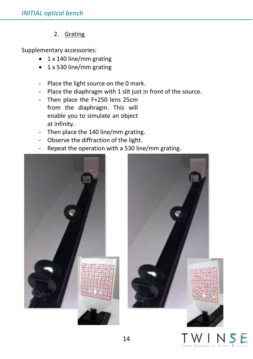## 2. Grating

- 1 x 140 line/mm grating
- 1 x 530 line/mm grating
- Place the light source on the 0 mark.
- Place the diaphragm with 1 slit just in front of the source.
- Then place the F+250 lens 25cm from the diaphragm. This will enable you to simulate an object at infinity.
- Then place the 140 line/mm grating.
- Observe the diffraction of the light.
- Repeat the operation with a 530 line/mm grating.





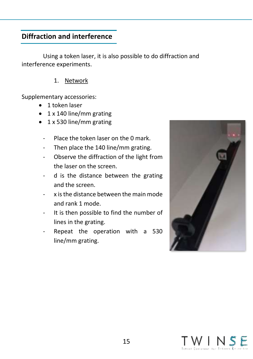## **Diffraction and interference**

Using a token laser, it is also possible to do diffraction and interference experiments.

#### 1. Network

- 1 token laser
- 1 x 140 line/mm grating
- 1 x 530 line/mm grating
	- Place the token laser on the 0 mark.
	- Then place the 140 line/mm grating.
	- Observe the diffraction of the light from the laser on the screen.
	- d is the distance between the grating and the screen.
	- x isthe distance between the main mode and rank 1 mode.
	- It is then possible to find the number of lines in the grating.
	- Repeat the operation with a 530 line/mm grating.



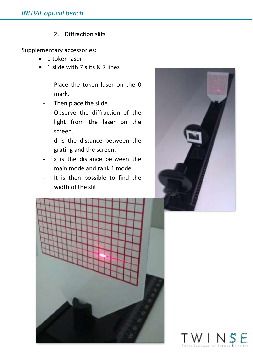#### 2. Diffraction slits

- 1 token laser
- 1 slide with 7 slits & 7 lines
	- Place the token laser on the 0 mark.
	- Then place the slide.
	- Observe the diffraction of the light from the laser on the screen.
	- d is the distance between the grating and the screen.
	- x is the distance between the main mode and rank 1 mode.
	- It is then possible to find the width of the slit.